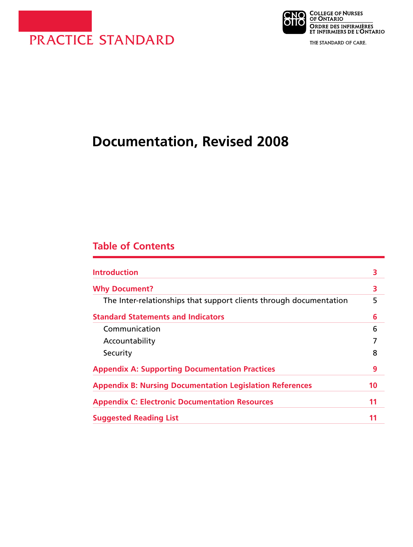



THE STANDARD OF CARE.

# **Documentation, Revised 2008**

## **Table of Contents**

| <b>Introduction</b>                                                | 3  |
|--------------------------------------------------------------------|----|
| <b>Why Document?</b>                                               | 3  |
| The Inter-relationships that support clients through documentation | 5  |
| <b>Standard Statements and Indicators</b>                          | 6  |
| Communication                                                      | 6  |
| Accountability                                                     |    |
| Security                                                           | 8  |
| <b>Appendix A: Supporting Documentation Practices</b>              | 9  |
| <b>Appendix B: Nursing Documentation Legislation References</b>    | 10 |
| <b>Appendix C: Electronic Documentation Resources</b>              | 11 |
| <b>Suggested Reading List</b>                                      | 11 |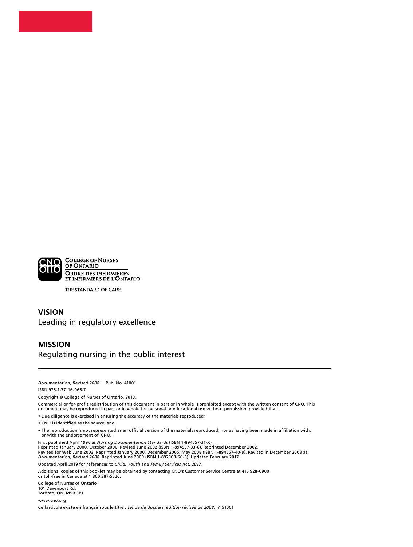

THE STANDARD OF CARE.

#### **VISION** Leading in regulatory excellence

#### **MISSION** Regulating nursing in the public interest

*Documentation, Revised 2008* Pub. No. 41001

ISBN 978-1-77116-066-7

Copyright © College of Nurses of Ontario, 2019.

Commercial or for-profit redistribution of this document in part or in whole is prohibited except with the written consent of CNO. This document may be reproduced in part or in whole for personal or educational use without permission, provided that:

• Due diligence is exercised in ensuring the accuracy of the materials reproduced;

• CNO is identified as the source; and

• The reproduction is not represented as an official version of the materials reproduced, nor as having been made in affiliation with, or with the endorsement of, CNO.

First published April 1996 as *Nursing Documentation Standards* (ISBN 1-894557-31-X) Reprinted January 2000, October 2000, Revised June 2002 (ISBN 1-894557-33-6), Reprinted December 2002, Revised for Web June 2003, Reprinted January 2000, December 2005, May 2008 (ISBN 1-894557-40-9). Revised in December 2008 as *Documentation, Revised 2008*. Reprinted June 2009 (ISBN 1-897308-56-6). Updated February 2017. Updated April 2019 for references to *Child, Youth and Family Services Act, 2017.*

Additional copies of this booklet may be obtained by contacting CNO's Customer Service Centre at 416 928-0900 or toll-free in Canada at 1 800 387-5526.

College of Nurses of Ontario 101 Davenport Rd. Toronto, ON M5R 3P1

[www.cno.org](http://www.cno.org)

Ce fascicule existe en français sous le titre : *Tenue de dossiers, édition révisée de 2008*, n° 51001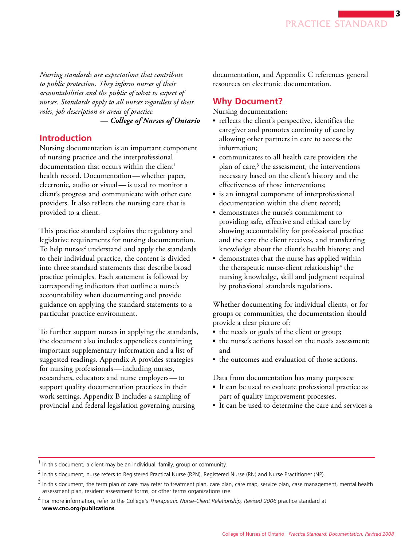<span id="page-2-0"></span>*Nursing standards are expectations that contribute to public protection. They inform nurses of their accountabilities and the public of what to expect of nurses. Standards apply to all nurses regardless of their roles, job description or areas of practice. — College of Nurses of Ontario* 

## **Introduction**

Nursing documentation is an important component of nursing practice and the interprofessional documentation that occurs within the client<sup>1</sup> health record. Documentation —whether paper, electronic, audio or visual-is used to monitor a client's progress and communicate with other care providers. It also reflects the nursing care that is provided to a client.

This practice standard explains the regulatory and legislative requirements for nursing documentation. To help nurses<sup>2</sup> understand and apply the standards to their individual practice, the content is divided into three standard statements that describe broad practice principles. Each statement is followed by corresponding indicators that outline a nurse's accountability when documenting and provide guidance on applying the standard statements to a particular practice environment.

 for nursing professionals — including nurses, researchers, educators and nurse employers — to To further support nurses in applying the standards, the document also includes appendices containing important supplementary information and a list of suggested readings. Appendix A provides strategies support quality documentation practices in their work settings. Appendix B includes a sampling of provincial and federal legislation governing nursing

documentation, and Appendix C references general resources on electronic documentation.

## **Why Document?**

Nursing documentation:

- reflects the client's perspective, identifies the caregiver and promotes continuity of care by allowing other partners in care to access the information;
- communicates to all health care providers the plan of care,<sup>3</sup> the assessment, the interventions necessary based on the client's history and the effectiveness of those interventions;
- is an integral component of interprofessional documentation within the client record;
- ■ demonstrates the nurse's commitment to providing safe, effective and ethical care by showing accountability for professional practice and the care the client receives, and transferring knowledge about the client's health history; and
- demonstrates that the nurse has applied within the therapeutic nurse-client relationship<sup>4</sup> the nursing knowledge, skill and judgment required by professional standards regulations.

Whether documenting for individual clients, or for groups or communities, the documentation should provide a clear picture of:

- the needs or goals of the client or group;
- the nurse's actions based on the needs assessment; and
- the outcomes and evaluation of those actions.

Data from documentation has many purposes:

- It can be used to evaluate professional practice as part of quality improvement processes.
- It can be used to determine the care and services a

 $<sup>1</sup>$  In this document, a client may be an individual, family, group or community.</sup>

<sup>&</sup>lt;sup>2</sup> In this document, nurse refers to Registered Practical Nurse (RPN), Registered Nurse (RN) and Nurse Practitioner (NP).

 $3$  In this document, the term plan of care may refer to treatment plan, care plan, care map, service plan, case management, mental health assessment plan, resident assessment forms, or other terms organizations use.

<sup>4</sup>  For more information, refer to the College's *Therapeutic Nurse-Client Relationship, Revised 2006* practice standard at **[www.cno.org/publications](http://www.cno.org/publications)**.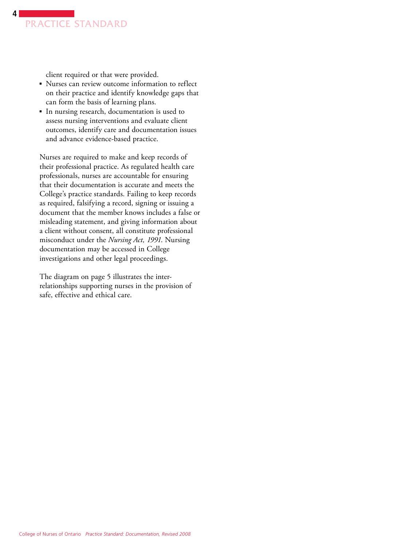

client required or that were provided.

- Nurses can review outcome information to reflect on their practice and identify knowledge gaps that can form the basis of learning plans.
- In nursing research, documentation is used to assess nursing interventions and evaluate client outcomes, identify care and documentation issues and advance evidence-based practice.

Nurses are required to make and keep records of their professional practice. As regulated health care professionals, nurses are accountable for ensuring that their documentation is accurate and meets the College's practice standards. Failing to keep records as required, falsifying a record, signing or issuing a document that the member knows includes a false or misleading statement, and giving information about a client without consent, all constitute professional misconduct under the *Nursing Act, 1991*. Nursing documentation may be accessed in College investigations and other legal proceedings.

The diagram on page 5 illustrates the interrelationships supporting nurses in the provision of safe, effective and ethical care.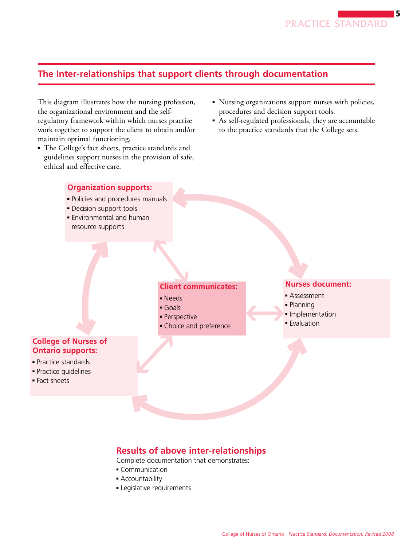

## <span id="page-4-0"></span>**The Inter-relationships that support clients through documentation**

This diagram illustrates how the nursing profession, the organizational environment and the selfregulatory framework within which nurses practise work together to support the client to obtain and/or maintain optimal functioning.

- The College's fact sheets, practice standards and guidelines support nurses in the provision of safe, ethical and effective care.
- Nursing organizations support nurses with policies, procedures and decision support tools.
- As self-regulated professionals, they are accountable to the practice standards that the College sets.

#### **Organization supports:**

- Policies and procedures manuals
- Decision support tools
- Environmental and human resource supports

#### **Nurses document:**

- Assessment
- Planning
- Implementation
- Evaluation

### **College of Nurses of Ontario supports:**

- Practice standards
- Practice guidelines
- Fact sheets

## **Client communicates:**

- Needs
- Goals
- Perspective
- Choice and preference

## **Results of above inter-relationships**

Complete documentation that demonstrates:

- Communication
- Accountability
- Legislative requirements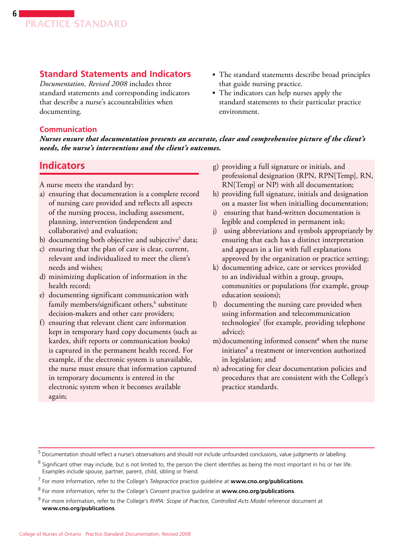## <span id="page-5-0"></span>**Standard Statements and Indicators**

*Documentation, Revised 2008* includes three standard statements and corresponding indicators that describe a nurse's accountabilities when documenting.

- The standard statements describe broad principles that guide nursing practice.
- The indicators can help nurses apply the standard statements to their particular practice environment.

#### **Communication**

*Nurses ensure that documentation presents an accurate, clear and comprehensive picture of the client's needs, the nurse's interventions and the client's outcomes.* 

## **Indicators**

A nurse meets the standard by:

- a) ensuring that documentation is a complete record of nursing care provided and reflects all aspects of the nursing process, including assessment, planning, intervention (independent and collaborative) and evaluation;
- b) documenting both objective and subjective<sup>5</sup> data;
- c) ensuring that the plan of care is clear, current, relevant and individualized to meet the client's needs and wishes;
- d) minimizing duplication of information in the health record;
- e) documenting significant communication with family members/significant others,<sup>6</sup> substitute decision-makers and other care providers;
- f) ensuring that relevant client care information kept in temporary hard copy documents (such as kardex, shift reports or communication books) is captured in the permanent health record. For example, if the electronic system is unavailable, the nurse must ensure that information captured in temporary documents is entered in the electronic system when it becomes available again;
- g) providing a full signature or initials, and professional designation (RPN, RPN[Temp], RN, RN[Temp] or NP) with all documentation;
- h) providing full signature, initials and designation on a master list when initialling documentation;
- i) ensuring that hand-written documentation is legible and completed in permanent ink;
- j) using abbreviations and symbols appropriately by ensuring that each has a distinct interpretation and appears in a list with full explanations approved by the organization or practice setting;
- k) documenting advice, care or services provided to an individual within a group, groups, communities or populations (for example, group education sessions);
- l) documenting the nursing care provided when using information and telecommunication technologies<sup>7</sup> (for example, providing telephone advice);
- m) documenting informed consent<sup>8</sup> when the nurse initiates<sup>9</sup> a treatment or intervention authorized in legislation; and
- n) advocating for clear documentation policies and procedures that are consistent with the College's practice standards.

 $^5$  Documentation should reflect a nurse's observations and should not include unfounded conclusions, value judgments or labelling.

<sup>&</sup>lt;sup>6</sup> Significant other may include, but is not limited to, the person the client identifies as being the most important in his or her life. Examples include spouse, partner, parent, child, sibling or friend.

<sup>7</sup>  For more information, refer to the College's *Telepractice* practice guideline at **[www.cno.org/publications](http://www.cno.org/publications)**.

<sup>8</sup> For more information, refer to the College's *Consent* practice guideline at **[www.cno.org/publications](http://www.cno.org/publications)**.

<sup>9</sup>  For more information, refer to the College's *RHPA: Scope of Practice, Controlled Acts Model* reference document at **[www.cno.org/publications](http://www.cno.org/publications)**.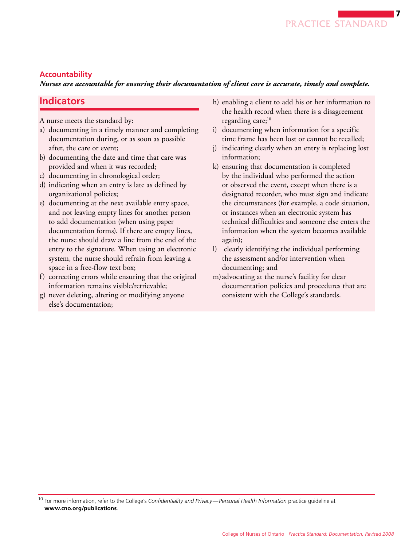#### <span id="page-6-0"></span>**Accountability**

 *Nurses are accountable for ensuring their documentation of client care is accurate, timely and complete.* 

## **Indicators**

A nurse meets the standard by:

- a) documenting in a timely manner and completing documentation during, or as soon as possible after, the care or event;
- b) documenting the date and time that care was provided and when it was recorded;
- c) documenting in chronological order;
- d) indicating when an entry is late as defined by organizational policies;
- e) documenting at the next available entry space, and not leaving empty lines for another person to add documentation (when using paper documentation forms). If there are empty lines, the nurse should draw a line from the end of the entry to the signature. When using an electronic system, the nurse should refrain from leaving a space in a free-flow text box;
- f) correcting errors while ensuring that the original information remains visible/retrievable;
- g) never deleting, altering or modifying anyone else's documentation;
- h) enabling a client to add his or her information to the health record when there is a disagreement regarding care;<sup>10</sup>
- i) documenting when information for a specific time frame has been lost or cannot be recalled;
- j) indicating clearly when an entry is replacing lost information;
- k) ensuring that documentation is completed by the individual who performed the action or observed the event, except when there is a designated recorder, who must sign and indicate the circumstances (for example, a code situation, or instances when an electronic system has technical difficulties and someone else enters the information when the system becomes available again);
- l) clearly identifying the individual performing the assessment and/or intervention when documenting; and
- m)advocating at the nurse's facility for clear documentation policies and procedures that are consistent with the College's standards.

<sup>10</sup> For more information, refer to the College's *Confidentiality and Privacy—Personal Health Information* practice guideline at **[www.cno.org/publications](http://www.cno.org/publications)**.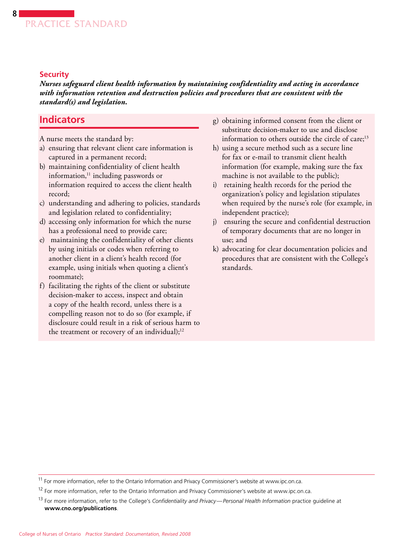#### **Security**

<span id="page-7-0"></span>**8**

*Nurses safeguard client health information by maintaining confidentiality and acting in accordance with information retention and destruction policies and procedures that are consistent with the standard(s) and legislation.* 

## **Indicators**

A nurse meets the standard by:

- a) ensuring that relevant client care information is captured in a permanent record;
- b) maintaining confidentiality of client health information, $11$  including passwords or information required to access the client health record;
- c) understanding and adhering to policies, standards and legislation related to confidentiality;
- d) accessing only information for which the nurse has a professional need to provide care;
- e) maintaining the confidentiality of other clients by using initials or codes when referring to another client in a client's health record (for example, using initials when quoting a client's roommate);
- f) facilitating the rights of the client or substitute decision-maker to access, inspect and obtain a copy of the health record, unless there is a compelling reason not to do so (for example, if disclosure could result in a risk of serious harm to the treatment or recovery of an individual);<sup>12</sup>
- g) obtaining informed consent from the client or substitute decision-maker to use and disclose information to others outside the circle of care;<sup>13</sup>
- h) using a secure method such as a secure line for fax or e-mail to transmit client health information (for example, making sure the fax machine is not available to the public);
- i) retaining health records for the period the organization's policy and legislation stipulates when required by the nurse's role (for example, in independent practice);
- j) ensuring the secure and confidential destruction of temporary documents that are no longer in use; and
- k) advocating for clear documentation policies and procedures that are consistent with the College's standards.

<sup>&</sup>lt;sup>11</sup> For more information, refer to the Ontario Information and Privacy Commissioner's website at [www.ipc.on.ca.](http://www.ipc.on.ca)

<sup>&</sup>lt;sup>12</sup> For more information, refer to the Ontario Information and Privacy Commissioner's website at [www.ipc.on.ca.](http://www.ipc.on.ca)

<sup>13</sup> For more information, refer to the College's *Confidentiality and Privacy—Personal Health Information* practice guideline at **[www.cno.org/publications](http://www.cno.org/publications)**.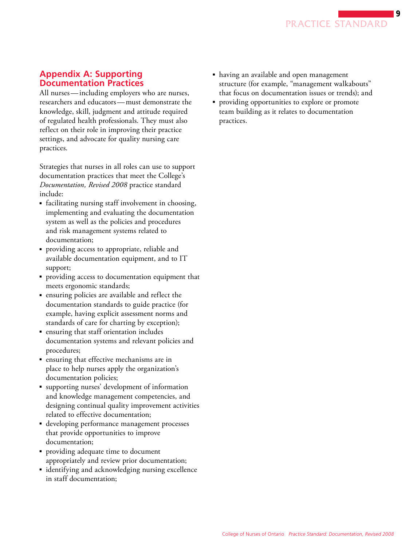#### <span id="page-8-0"></span>**Appendix A: Supporting Documentation Practices**

 All nurses — including employers who are nurses, researchers and educators — must demonstrate the knowledge, skill, judgment and attitude required of regulated health professionals. They must also reflect on their role in improving their practice settings, and advocate for quality nursing care practices.

Strategies that nurses in all roles can use to support documentation practices that meet the College's *Documentation, Revised 2008* practice standard include:

- facilitating nursing staff involvement in choosing, implementing and evaluating the documentation system as well as the policies and procedures and risk management systems related to documentation;
- providing access to appropriate, reliable and available documentation equipment, and to IT support;
- providing access to documentation equipment that meets ergonomic standards;
- ensuring policies are available and reflect the documentation standards to guide practice (for example, having explicit assessment norms and standards of care for charting by exception);
- ensuring that staff orientation includes documentation systems and relevant policies and procedures;
- ensuring that effective mechanisms are in place to help nurses apply the organization's documentation policies;
- supporting nurses' development of information and knowledge management competencies, and designing continual quality improvement activities related to effective documentation;
- developing performance management processes that provide opportunities to improve documentation;
- providing adequate time to document appropriately and review prior documentation;
- identifying and acknowledging nursing excellence in staff documentation;
- having an available and open management structure (for example, "management walkabouts" that focus on documentation issues or trends); and
- providing opportunities to explore or promote team building as it relates to documentation practices.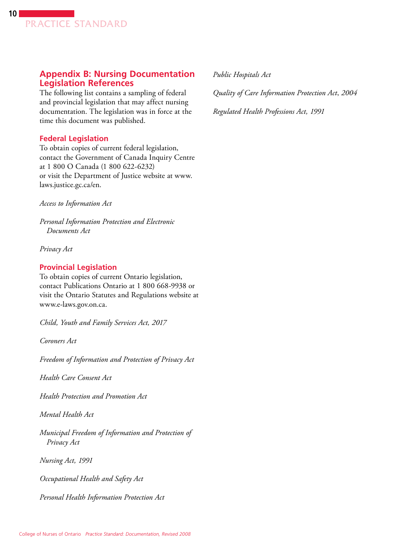### <span id="page-9-0"></span>**Appendix B: Nursing Documentation Legislation References**

The following list contains a sampling of federal and provincial legislation that may affect nursing documentation. The legislation was in force at the time this document was published.

#### **Federal Legislation**

To obtain copies of current federal legislation, contact the Government of Canada Inquiry Centre at 1 800 O Canada (1 800 622-6232) or visit the Department of Justice website at [www.](http://www.laws.justice.gc.ca/en) [laws.justice.gc.ca/en.](http://www.laws.justice.gc.ca/en)

*Access to Information Act* 

*Personal Information Protection and Electronic Documents Act* 

*Privacy Act* 

#### **Provincial Legislation**

To obtain copies of current Ontario legislation, contact Publications Ontario at 1 800 668-9938 or visit the Ontario Statutes and Regulations website at [www.e-laws.gov.on.ca.](http://www.e-laws.gov.on.ca)

*Child, Youth and Family Services Act, 2017* 

*Coroners Act* 

*Freedom of Information and Protection of Privacy Act* 

*Health Care Consent Act* 

*Health Protection and Promotion Act* 

*Mental Health Act* 

*Municipal Freedom of Information and Protection of Privacy Act* 

*Nursing Act, 1991* 

*Occupational Health and Safety Act* 

*Personal Health Information Protection Act* 

*Public Hospitals Act* 

*Quality of Care Information Protection Act*, *2004* 

*Regulated Health Professions Act, 1991*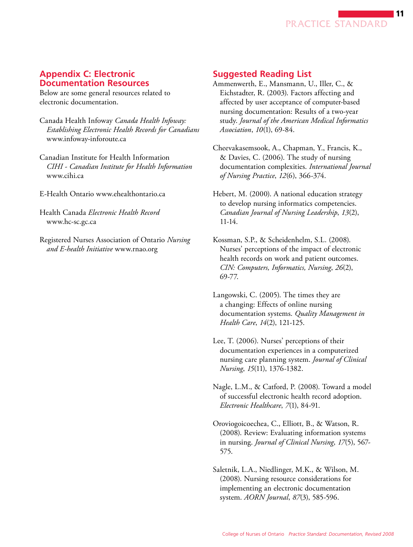

#### <span id="page-10-0"></span>**Appendix C: Electronic Documentation Resources**

Below are some general resources related to electronic documentation.

- Canada Health Infoway *Canada Health Infoway: Establishing Electronic Health Records for Canadians*  www.infoway-inforoute.ca
- Canadian Institute for Health Information *CIHI - Canadian Institute for Health Information*  www.cihi.ca
- E-Health Ontario www.ehealthontario.ca

Health Canada *Electronic Health Record*  www.hc-sc.gc.ca

Registered Nurses Association of Ontario *Nursing and E-health Initiative* www.rnao.org

#### **Suggested Reading List**

- Ammenwerth, E., Mansmann, U., Iller, C., & Eichstadter, R. (2003). Factors affecting and affected by user acceptance of computer-based nursing documentation: Results of a two-year study. *Journal of the American Medical Informatics Association*, *10*(1), 69-84.
- Cheevakasemsook, A., Chapman, Y., Francis, K., & Davies, C. (2006). The study of nursing documentation complexities. *International Journal of Nursing Practice*, *12*(6), 366-374.

Hebert, M. (2000). A national education strategy to develop nursing informatics competencies. *Canadian Journal of Nursing Leadership*, *13*(2), 11-14.

Kossman, S.P., & Scheidenhelm, S.L. (2008). Nurses' perceptions of the impact of electronic health records on work and patient outcomes. *CIN: Computers, Informatics, Nursing*, *26*(2), 69-77.

- Langowski, C. (2005). The times they are a changing: Effects of online nursing documentation systems. *Quality Management in Health Care*, *14*(2), 121-125.
- Lee, T. (2006). Nurses' perceptions of their documentation experiences in a computerized nursing care planning system. *Journal of Clinical Nursing*, *15*(11), 1376-1382.
- Nagle, L.M., & Catford, P. (2008). Toward a model of successful electronic health record adoption. *Electronic Healthcare*, *7*(1), 84-91.
- Oroviogoicoechea, C., Elliott, B., & Watson, R. (2008). Review: Evaluating information systems in nursing. *Journal of Clinical Nursing*, *17*(5), 567 575.
- Saletnik, L.A., Niedlinger, M.K., & Wilson, M. (2008). Nursing resource considerations for implementing an electronic documentation system. *AORN Journal*, *87*(3), 585-596.